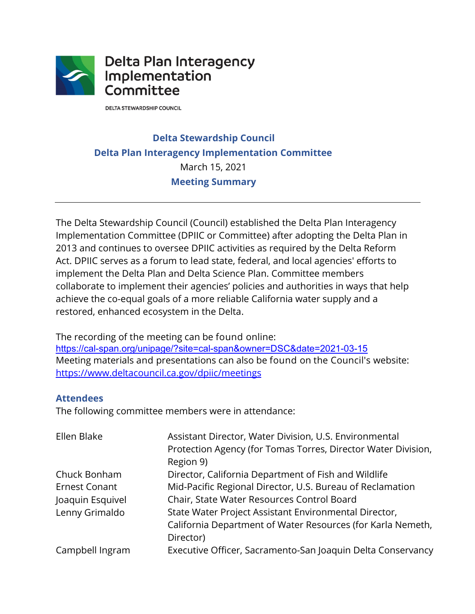

**DELTA STEWARDSHIP COUNCIL** 

## **Delta Stewardship Council Delta Plan Interagency Implementation Committee**  March 15, 2021 **Meeting Summary**

 Implementation Committee (DPIIC or Committee) after adopting the Delta Plan in Act. DPIIC serves as a forum to lead state, federal, and local agencies' efforts to implement the Delta Plan and Delta Science Plan. Committee members The Delta Stewardship Council (Council) established the Delta Plan Interagency 2013 and continues to oversee DPIIC activities as required by the Delta Reform collaborate to implement their agencies' policies and authorities in ways that help achieve the co-equal goals of a more reliable California water supply and a restored, enhanced ecosystem in the Delta.

 The recording of the meeting can be found online: Meeting materials and presentations can also be found on the Council's website:<br><u><https://www.deltacouncil.ca.gov/dpiic/meetings></u> https://www.deltacouncil.ca.gov/dpiic/meetings <https://cal-span.org/unipage/?site=cal-span&owner=DSC&date=2021-03-15>

#### **Attendees**

The following committee members were in attendance:

| Ellen Blake          | Assistant Director, Water Division, U.S. Environmental<br>Protection Agency (for Tomas Torres, Director Water Division,<br>Region 9) |
|----------------------|--------------------------------------------------------------------------------------------------------------------------------------|
| Chuck Bonham         | Director, California Department of Fish and Wildlife                                                                                 |
| <b>Ernest Conant</b> | Mid-Pacific Regional Director, U.S. Bureau of Reclamation                                                                            |
| Joaquin Esquivel     | Chair, State Water Resources Control Board                                                                                           |
| Lenny Grimaldo       | State Water Project Assistant Environmental Director,                                                                                |
|                      | California Department of Water Resources (for Karla Nemeth,                                                                          |
|                      | Director)                                                                                                                            |
| Campbell Ingram      | Executive Officer, Sacramento-San Joaquin Delta Conservancy                                                                          |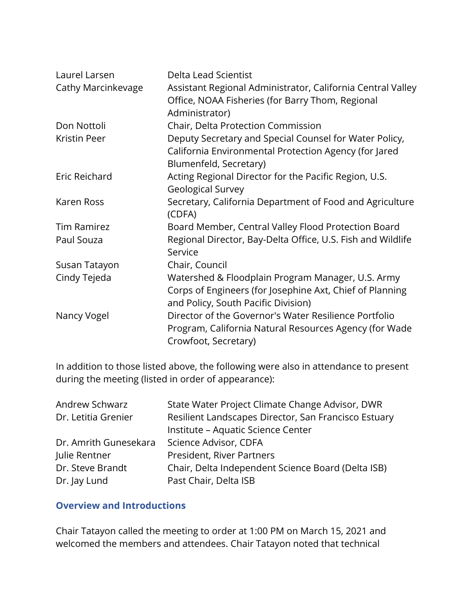| Laurel Larsen<br>Cathy Marcinkevage | Delta Lead Scientist<br>Assistant Regional Administrator, California Central Valley<br>Office, NOAA Fisheries (for Barry Thom, Regional<br>Administrator) |
|-------------------------------------|-----------------------------------------------------------------------------------------------------------------------------------------------------------|
| Don Nottoli                         | Chair, Delta Protection Commission                                                                                                                        |
| Kristin Peer                        | Deputy Secretary and Special Counsel for Water Policy,<br>California Environmental Protection Agency (for Jared<br>Blumenfeld, Secretary)                 |
| Eric Reichard                       | Acting Regional Director for the Pacific Region, U.S.<br><b>Geological Survey</b>                                                                         |
| Karen Ross                          | Secretary, California Department of Food and Agriculture<br>(CDFA)                                                                                        |
| <b>Tim Ramirez</b>                  | Board Member, Central Valley Flood Protection Board                                                                                                       |
| Paul Souza                          | Regional Director, Bay-Delta Office, U.S. Fish and Wildlife<br>Service                                                                                    |
| Susan Tatayon                       | Chair, Council                                                                                                                                            |
| Cindy Tejeda                        | Watershed & Floodplain Program Manager, U.S. Army<br>Corps of Engineers (for Josephine Axt, Chief of Planning<br>and Policy, South Pacific Division)      |
| Nancy Vogel                         | Director of the Governor's Water Resilience Portfolio<br>Program, California Natural Resources Agency (for Wade<br>Crowfoot, Secretary)                   |

In addition to those listed above, the following were also in attendance to present during the meeting (listed in order of appearance):

| Andrew Schwarz        | State Water Project Climate Change Advisor, DWR      |
|-----------------------|------------------------------------------------------|
| Dr. Letitia Grenier   | Resilient Landscapes Director, San Francisco Estuary |
|                       | Institute - Aquatic Science Center                   |
| Dr. Amrith Gunesekara | Science Advisor, CDFA                                |
| Julie Rentner         | President, River Partners                            |
| Dr. Steve Brandt      | Chair, Delta Independent Science Board (Delta ISB)   |
| Dr. Jay Lund          | Past Chair, Delta ISB                                |

#### **Overview and Introductions**

 Chair Tatayon called the meeting to order at 1:00 PM on March 15, 2021 and welcomed the members and attendees. Chair Tatayon noted that technical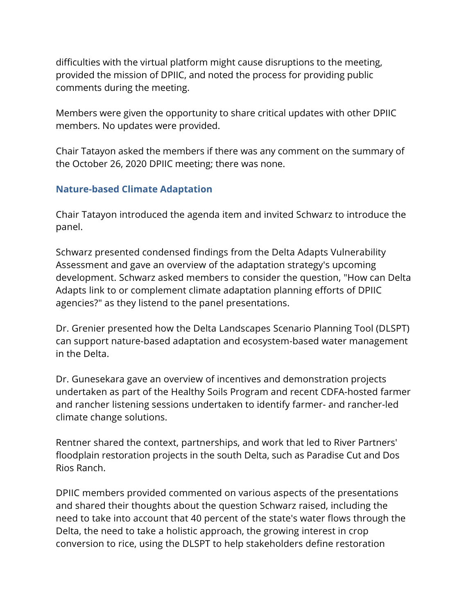provided the mission of DPIIC, and noted the process for providing public difficulties with the virtual platform might cause disruptions to the meeting, comments during the meeting.

Members were given the opportunity to share critical updates with other DPIIC members. No updates were provided.

 the October 26, 2020 DPIIC meeting; there was none. Chair Tatayon asked the members if there was any comment on the summary of

## **Nature-based Climate Adaptation**

 Chair Tatayon introduced the agenda item and invited Schwarz to introduce the panel.

 Assessment and gave an overview of the adaptation strategy's upcoming development. Schwarz asked members to consider the question, "How can Delta Schwarz presented condensed findings from the Delta Adapts Vulnerability Adapts link to or complement climate adaptation planning efforts of DPIIC agencies?" as they listend to the panel presentations.

Dr. Grenier presented how the Delta Landscapes Scenario Planning Tool (DLSPT) can support nature-based adaptation and ecosystem-based water management in the Delta.

 undertaken as part of the Healthy Soils Program and recent CDFA-hosted farmer Dr. Gunesekara gave an overview of incentives and demonstration projects and rancher listening sessions undertaken to identify farmer- and rancher-led climate change solutions.

Rentner shared the context, partnerships, and work that led to River Partners' floodplain restoration projects in the south Delta, such as Paradise Cut and Dos Rios Ranch.

 Delta, the need to take a holistic approach, the growing interest in crop DPIIC members provided commented on various aspects of the presentations and shared their thoughts about the question Schwarz raised, including the need to take into account that 40 percent of the state's water flows through the conversion to rice, using the DLSPT to help stakeholders define restoration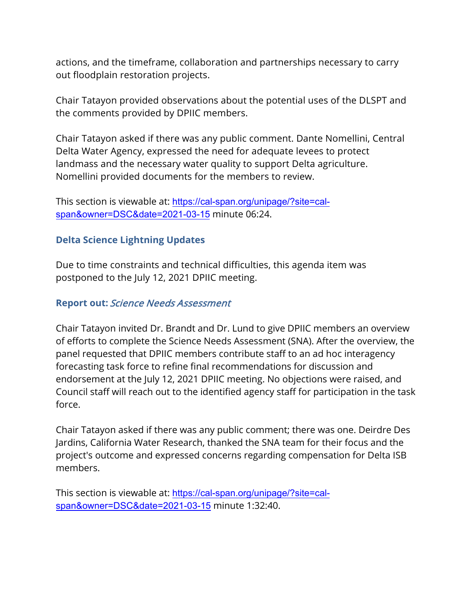actions, and the timeframe, collaboration and partnerships necessary to carry out floodplain restoration projects.

Chair Tatayon provided observations about the potential uses of the DLSPT and the comments provided by DPIIC members.

Chair Tatayon asked if there was any public comment. Dante Nomellini, Central Delta Water Agency, expressed the need for adequate levees to protect landmass and the necessary water quality to support Delta agriculture. Nomellini provided documents for the members to review.

This section is viewable at: <https://cal-span.org/unipage/?site=cal>span&owner=DSC&date=2021-03-15 minute 06:24.

## **Delta Science Lightning Updates**

Due to time constraints and technical difficulties, this agenda item was postponed to the July 12, 2021 DPIIC meeting.

### **Report out:** Science Needs Assessment

Chair Tatayon invited Dr. Brandt and Dr. Lund to give DPIIC members an overview of efforts to complete the Science Needs Assessment (SNA). After the overview, the panel requested that DPIIC members contribute staff to an ad hoc interagency forecasting task force to refine final recommendations for discussion and endorsement at the July 12, 2021 DPIIC meeting. No objections were raised, and Council staff will reach out to the identified agency staff for participation in the task force.

Chair Tatayon asked if there was any public comment; there was one. Deirdre Des Jardins, California Water Research, thanked the SNA team for their focus and the project's outcome and expressed concerns regarding compensation for Delta ISB members.

This section is viewable at: <https://cal-span.org/unipage/?site=cal>span&owner=DSC&date=2021-03-15 minute 1:32:40.